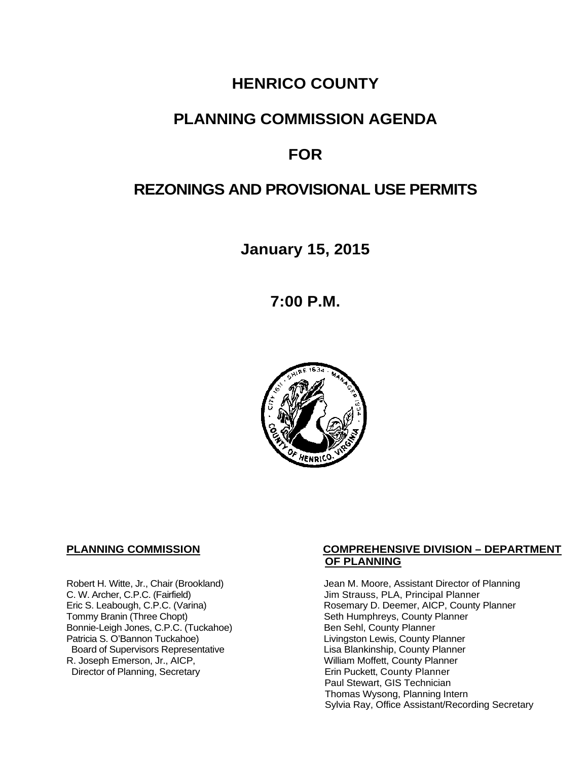## **HENRICO COUNTY**

## **PLANNING COMMISSION AGENDA**

# **FOR**

# **REZONINGS AND PROVISIONAL USE PERMITS**

**January 15, 2015**

**7:00 P.M.**



C. W. Archer, C.P.C. (Fairfield) C. W. Archer, C.P.C. (Fairfield) Jim Strauss, PLA, Principal Planner<br>
Eric S. Leabough, C.P.C. (Varina) Santa Company D. Deemer, AICP, County Bonnie-Leigh Jones, C.P.C. (Tuckahoe)<br>Patricia S. O'Bannon Tuckahoe) Board of Supervisors Representative<br>R. Joseph Emerson, Jr., AICP, Director of Planning, Secretary

### **PLANNING COMMISSION COMPREHENSIVE DIVISION – DEPARTMENT OF PLANNING**

Robert H. Witte, Jr., Chair (Brookland) Jean M. Moore, Assistant Director of Planning<br>C. W. Archer, C.P.C. (Fairfield) Jim Strauss, PLA, Principal Planner Eric S. Leabough, C.P.C. (Varina) Rosemary D. Deemer, AICP, County Planner<br>Tommy Branin (Three Chopt) Seth Humphreys, County Planner Seth Humphreys, County Planner<br>Ben Sehl, County Planner Livingston Lewis, County Planner<br>Lisa Blankinship, County Planner William Moffett, County Planner<br>Erin Puckett, County Planner Paul Stewart, GIS Technician Thomas Wysong, Planning Intern Sylvia Ray, Office Assistant/Recording Secretary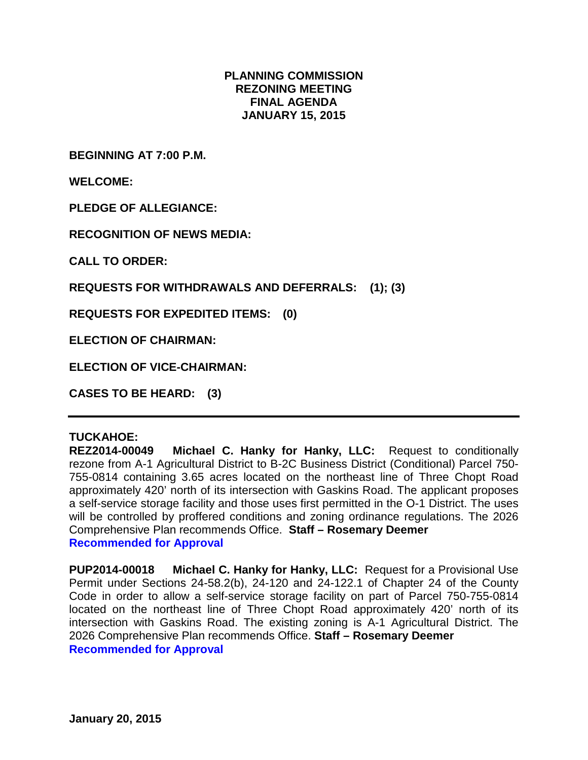### **PLANNING COMMISSION REZONING MEETING FINAL AGENDA JANUARY 15, 2015**

**BEGINNING AT 7:00 P.M.**

**WELCOME:**

**PLEDGE OF ALLEGIANCE:**

**RECOGNITION OF NEWS MEDIA:**

**CALL TO ORDER:**

**REQUESTS FOR WITHDRAWALS AND DEFERRALS: (1); (3)**

**REQUESTS FOR EXPEDITED ITEMS: (0)**

**ELECTION OF CHAIRMAN:** 

**ELECTION OF VICE-CHAIRMAN:** 

**CASES TO BE HEARD: (3)**

#### **TUCKAHOE:**

**REZ2014-00049 Michael C. Hanky for Hanky, LLC:** Request to conditionally rezone from A-1 Agricultural District to B-2C Business District (Conditional) Parcel 750- 755-0814 containing 3.65 acres located on the northeast line of Three Chopt Road approximately 420' north of its intersection with Gaskins Road. The applicant proposes a self-service storage facility and those uses first permitted in the O-1 District. The uses will be controlled by proffered conditions and zoning ordinance regulations. The 2026 Comprehensive Plan recommends Office. **Staff – Rosemary Deemer Recommended for Approval**

**PUP2014-00018 Michael C. Hanky for Hanky, LLC:** Request for a Provisional Use Permit under Sections 24-58.2(b), 24-120 and 24-122.1 of Chapter 24 of the County Code in order to allow a self-service storage facility on part of Parcel 750-755-0814 located on the northeast line of Three Chopt Road approximately 420' north of its intersection with Gaskins Road. The existing zoning is A-1 Agricultural District. The 2026 Comprehensive Plan recommends Office. **Staff – Rosemary Deemer Recommended for Approval**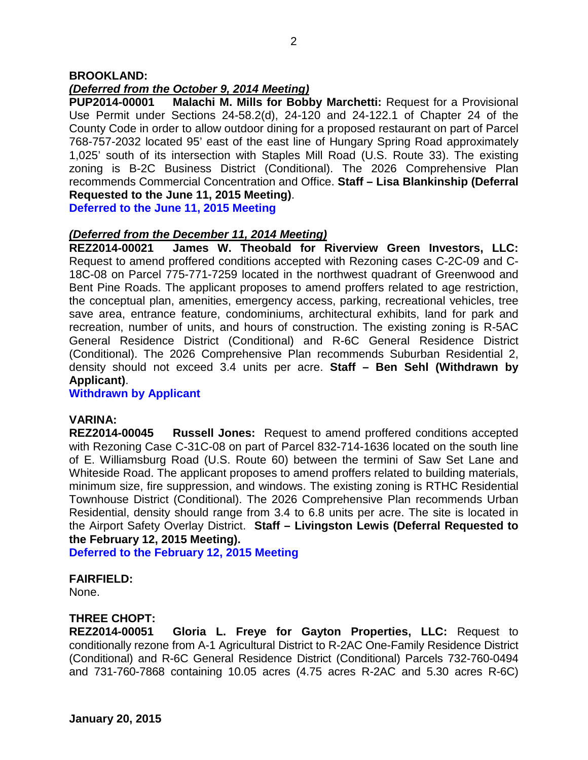#### **BROOKLAND:**

#### *(Deferred from the October 9, 2014 Meeting)*

**PUP2014-00001 Malachi M. Mills for Bobby Marchetti:** Request for a Provisional Use Permit under Sections 24-58.2(d), 24-120 and 24-122.1 of Chapter 24 of the County Code in order to allow outdoor dining for a proposed restaurant on part of Parcel 768-757-2032 located 95' east of the east line of Hungary Spring Road approximately 1,025' south of its intersection with Staples Mill Road (U.S. Route 33). The existing zoning is B-2C Business District (Conditional). The 2026 Comprehensive Plan recommends Commercial Concentration and Office. **Staff – Lisa Blankinship (Deferral Requested to the June 11, 2015 Meeting)**.

**Deferred to the June 11, 2015 Meeting**

#### *(Deferred from the December 11, 2014 Meeting)*

**REZ2014-00021 James W. Theobald for Riverview Green Investors, LLC:** Request to amend proffered conditions accepted with Rezoning cases C-2C-09 and C-18C-08 on Parcel 775-771-7259 located in the northwest quadrant of Greenwood and Bent Pine Roads. The applicant proposes to amend proffers related to age restriction, the conceptual plan, amenities, emergency access, parking, recreational vehicles, tree save area, entrance feature, condominiums, architectural exhibits, land for park and recreation, number of units, and hours of construction. The existing zoning is R-5AC General Residence District (Conditional) and R-6C General Residence District (Conditional). The 2026 Comprehensive Plan recommends Suburban Residential 2, density should not exceed 3.4 units per acre. **Staff – Ben Sehl (Withdrawn by Applicant)**.

**Withdrawn by Applicant**

#### **VARINA:**

**REZ2014-00045 Russell Jones:** Request to amend proffered conditions accepted with Rezoning Case C-31C-08 on part of Parcel 832-714-1636 located on the south line of E. Williamsburg Road (U.S. Route 60) between the termini of Saw Set Lane and Whiteside Road. The applicant proposes to amend proffers related to building materials, minimum size, fire suppression, and windows. The existing zoning is RTHC Residential Townhouse District (Conditional). The 2026 Comprehensive Plan recommends Urban Residential, density should range from 3.4 to 6.8 units per acre. The site is located in the Airport Safety Overlay District. **Staff – Livingston Lewis (Deferral Requested to the February 12, 2015 Meeting).**

**Deferred to the February 12, 2015 Meeting**

**FAIRFIELD:** 

None.

#### **THREE CHOPT:**

**REZ2014-00051 Gloria L. Freye for Gayton Properties, LLC:** Request to conditionally rezone from A-1 Agricultural District to R-2AC One-Family Residence District (Conditional) and R-6C General Residence District (Conditional) Parcels 732-760-0494 and 731-760-7868 containing 10.05 acres (4.75 acres R-2AC and 5.30 acres R-6C)